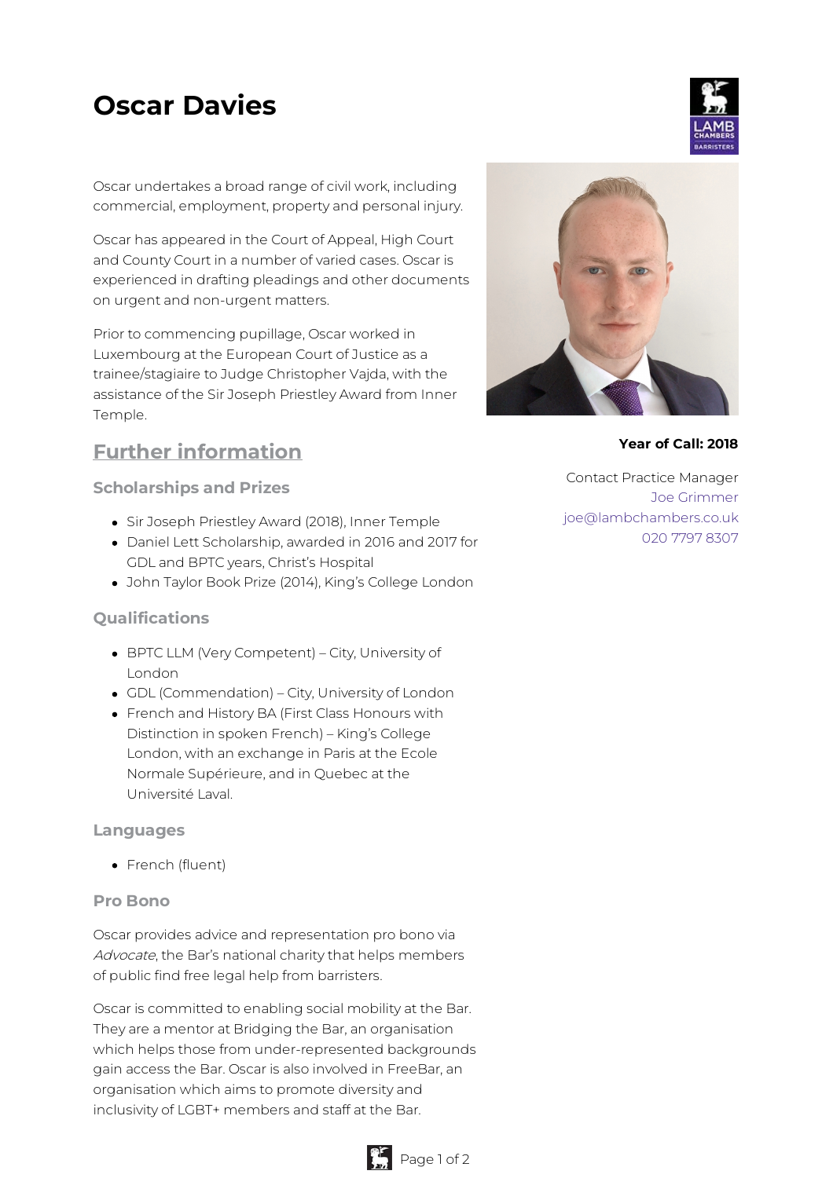# **Oscar Davies**

Oscar undertakes a broad range of civil work, including commercial, employment, property and personal injury.

Oscar has appeared in the Court of Appeal, High Court and County Court in a number of varied cases. Oscar is experienced in drafting pleadings and other documents on urgent and non-urgent matters.

Prior to commencing pupillage, Oscar worked in Luxembourg at the European Court of Justice as a trainee/stagiaire to Judge Christopher Vajda, with the assistance of the Sir Joseph Priestley Award from Inner Temple.

# **Further information**

**Scholarships and Prizes**

- Sir Joseph Priestley Award (2018), Inner Temple
- Daniel Lett Scholarship, awarded in 2016 and 2017 for GDL and BPTC years, Christ's Hospital
- John Taylor Book Prize (2014), King's College London

### **Qualifications**

- BPTC LLM (Very Competent) City, University of London
- GDL (Commendation) City, University of London
- French and History BA (First Class Honours with Distinction in spoken French) – King's College London, with an exchange in Paris at the Ecole Normale Supérieure, and in Quebec at the Université Laval.

#### **Languages**

• French (fluent)

#### **Pro Bono**

Oscar provides advice and representation pro bono via Advocate, the Bar's national charity that helps members of public find free legal help from barristers.

Oscar is committed to enabling social mobility at the Bar. They are a mentor at Bridging the Bar, an organisation which helps those from under-represented backgrounds gain access the Bar. Oscar is also involved in FreeBar, an organisation which aims to promote diversity and inclusivity of LGBT+ members and staff at the Bar.

**Year of Call: 2018**

Contact Practice Manager Joe [Grimmer](mailto:joe@lambchambers.co.uk) [joe@lambchambers.co.uk](mailto:joe@lambchambers.co.uk) 020 7797 [8307](tel:020%207797%208307)